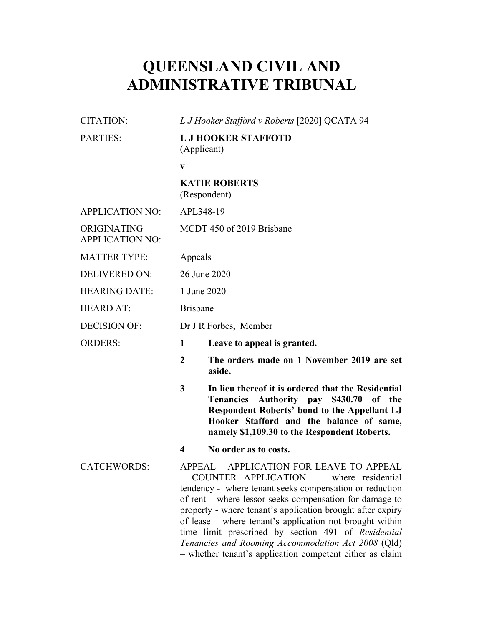# **QUEENSLAND CIVIL AND ADMINISTRATIVE TRIBUNAL**

| <b>CITATION:</b>                      | L J Hooker Stafford v Roberts [2020] QCATA 94 |                                                                                                                                                                                                                                                                                                                                                                                                                                                                                                              |  |
|---------------------------------------|-----------------------------------------------|--------------------------------------------------------------------------------------------------------------------------------------------------------------------------------------------------------------------------------------------------------------------------------------------------------------------------------------------------------------------------------------------------------------------------------------------------------------------------------------------------------------|--|
| <b>PARTIES:</b>                       | <b>L J HOOKER STAFFOTD</b><br>(Applicant)     |                                                                                                                                                                                                                                                                                                                                                                                                                                                                                                              |  |
|                                       | $\mathbf{V}$                                  |                                                                                                                                                                                                                                                                                                                                                                                                                                                                                                              |  |
|                                       |                                               | <b>KATIE ROBERTS</b><br>(Respondent)                                                                                                                                                                                                                                                                                                                                                                                                                                                                         |  |
| <b>APPLICATION NO:</b>                | APL348-19                                     |                                                                                                                                                                                                                                                                                                                                                                                                                                                                                                              |  |
| ORIGINATING<br><b>APPLICATION NO:</b> | MCDT 450 of 2019 Brisbane                     |                                                                                                                                                                                                                                                                                                                                                                                                                                                                                                              |  |
| <b>MATTER TYPE:</b>                   | Appeals                                       |                                                                                                                                                                                                                                                                                                                                                                                                                                                                                                              |  |
| <b>DELIVERED ON:</b>                  | 26 June 2020                                  |                                                                                                                                                                                                                                                                                                                                                                                                                                                                                                              |  |
| <b>HEARING DATE:</b>                  | 1 June 2020                                   |                                                                                                                                                                                                                                                                                                                                                                                                                                                                                                              |  |
| <b>HEARD AT:</b>                      | <b>Brisbane</b>                               |                                                                                                                                                                                                                                                                                                                                                                                                                                                                                                              |  |
| <b>DECISION OF:</b>                   | Dr J R Forbes, Member                         |                                                                                                                                                                                                                                                                                                                                                                                                                                                                                                              |  |
| <b>ORDERS:</b>                        | 1                                             | Leave to appeal is granted.                                                                                                                                                                                                                                                                                                                                                                                                                                                                                  |  |
|                                       | $\overline{2}$                                | The orders made on 1 November 2019 are set<br>aside.                                                                                                                                                                                                                                                                                                                                                                                                                                                         |  |
|                                       | 3                                             | In lieu thereof it is ordered that the Residential<br>Tenancies Authority pay \$430.70 of the<br>Respondent Roberts' bond to the Appellant LJ<br>Hooker Stafford and the balance of same,<br>namely \$1,109.30 to the Respondent Roberts.                                                                                                                                                                                                                                                                    |  |
|                                       | $\overline{\mathbf{4}}$                       | No order as to costs.                                                                                                                                                                                                                                                                                                                                                                                                                                                                                        |  |
| <b>CATCHWORDS:</b>                    |                                               | APPEAL - APPLICATION FOR LEAVE TO APPEAL<br>COUNTER APPLICATION – where residential<br>tendency - where tenant seeks compensation or reduction<br>of rent – where lessor seeks compensation for damage to<br>property - where tenant's application brought after expiry<br>of lease – where tenant's application not brought within<br>time limit prescribed by section 491 of Residential<br>Tenancies and Rooming Accommodation Act 2008 (Qld)<br>- whether tenant's application competent either as claim |  |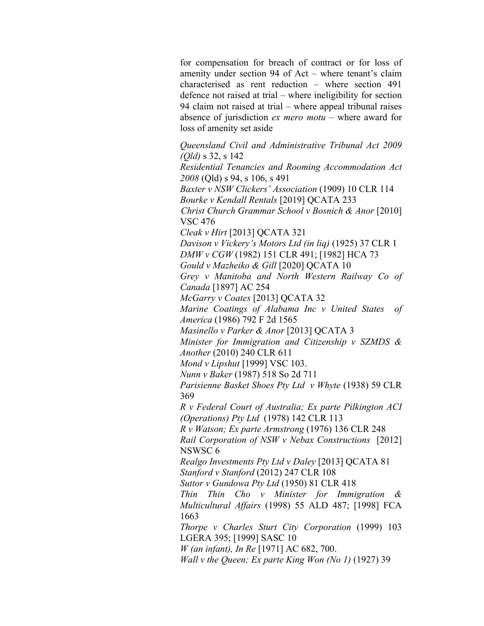for compensation for breach of contract or for loss of amenity under section 94 of Act – where tenant's claim characterised as rent reduction – where section 491 defence not raised at trial – where ineligibility for section 94 claim not raised at trial – where appeal tribunal raises absence of jurisdiction *ex mero motu* – where award for loss of amenity set aside

*Queensland Civil and Administrative Tribunal Act 2009 (Qld)* s 32, s 142 *Residential Tenancies and Rooming Accommodation Act 2008* (Qld) s 94, s 106, s 491 *Baxter v NSW Clickers' Association* (1909) 10 CLR 114 *Bourke v Kendall Rentals* [2019] QCATA 233 *Christ Church Grammar School v Bosnich & Anor* [2010] VSC 476 *Cleak v Hirt* [2013] QCATA 321 *Davison v Vickery's Motors Ltd (in liq)* (1925) 37 CLR 1 *DMW v CGW* (1982) 151 CLR 491; [1982] HCA 73 *Gould v Mazheiko & Gill* [2020] QCATA 10 *Grey v Manitoba and North Western Railway Co of Canada* [1897] AC 254 *McGarry v Coates* [2013] QCATA 32 *Marine Coatings of Alabama Inc v United States of America* (1986) 792 F 2d 1565 *Masinello v Parker & Anor* [2013] QCATA 3 *Minister for Immigration and Citizenship v SZMDS & Another* (2010) 240 CLR 611 *Mond v Lipshut* [1999] VSC 103. *Nunn v Baker* (1987) 518 So 2d 711 *Parisienne Basket Shoes Pty Ltd v Whyte* (1938) 59 CLR 369 *R v Federal Court of Australia; Ex parte Pilkington ACI (Operations) Pty Ltd* (1978) 142 CLR 113 *R v Watson; Ex parte Armstrong* (1976) 136 CLR 248 *Rail Corporation of NSW v Nebax Constructions* [2012] NSWSC 6 *Realgo Investments Pty Ltd v Daley* [2013] QCATA 81 *Stanford v Stanford* (2012) 247 CLR 108 *Suttor v Gundowa Pty Ltd* (1950) 81 CLR 418 *Thin Thin Cho v Minister for Immigration & Multicultural Affairs* (1998) 55 ALD 487; [1998] FCA 1663 *Thorpe v Charles Sturt City Corporation* (1999) 103 LGERA 395; [1999] SASC 10 *W (an infant), In Re* [1971] AC 682, 700. *Wall v the Queen; Ex parte King Won (No 1)* (1927) 39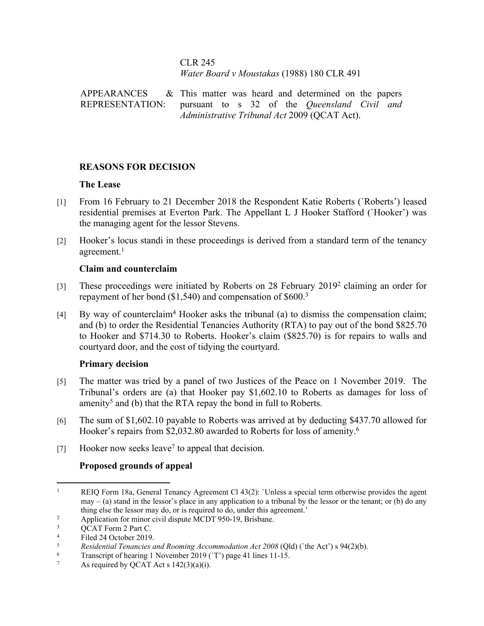#### CLR 245 *Water Board v Moustakas* (1988) 180 CLR 491

**APPEARANCES** REPRESENTATION:  $&$  This matter was heard and determined on the papers pursuant to s 32 of the *Queensland Civil and Administrative Tribunal Act* 2009 (QCAT Act).

## **REASONS FOR DECISION**

#### **The Lease**

- [1] From 16 February to 21 December 2018 the Respondent Katie Roberts (`Roberts') leased residential premises at Everton Park. The Appellant L J Hooker Stafford (`Hooker') was the managing agent for the lessor Stevens.
- [2] Hooker's locus standi in these proceedings is derived from a standard term of the tenancy agreement.<sup>1</sup>

#### **Claim and counterclaim**

- [3] These proceedings were initiated by Roberts on 28 February 2019<sup>2</sup> claiming an order for repayment of her bond (\$1,540) and compensation of \$600.<sup>3</sup>
- [4] By way of counterclaim<sup>4</sup> Hooker asks the tribunal (a) to dismiss the compensation claim; and (b) to order the Residential Tenancies Authority (RTA) to pay out of the bond \$825.70 to Hooker and \$714.30 to Roberts. Hooker's claim (\$825.70) is for repairs to walls and courtyard door, and the cost of tidying the courtyard.

#### **Primary decision**

- [5] The matter was tried by a panel of two Justices of the Peace on 1 November 2019. The Tribunal's orders are (a) that Hooker pay \$1,602.10 to Roberts as damages for loss of amenity<sup>5</sup> and (b) that the RTA repay the bond in full to Roberts.
- [6] The sum of \$1,602.10 payable to Roberts was arrived at by deducting \$437.70 allowed for Hooker's repairs from \$2,032.80 awarded to Roberts for loss of amenity.<sup>6</sup>
- [7] Hooker now seeks leave<sup>7</sup> to appeal that decision.

## **Proposed grounds of appeal**

<sup>1</sup> REIQ Form 18a, General Tenancy Agreement Cl 43(2): `Unless a special term otherwise provides the agent  $\mu$  may – (a) stand in the lessor's place in any application to a tribunal by the lessor or the tenant; or (b) do any thing else the lessor may do, or is required to do, under this agreement.'

<sup>2</sup> Application for minor civil dispute MCDT 950-19, Brisbane.

<sup>3</sup> QCAT Form 2 Part C.

<sup>4</sup>  $\frac{4}{5}$  Filed 24 October 2019.

<sup>5</sup> *Residential Tenancies and Rooming Accommodation Act 2008* (Qld) (`the Act') s 94(2)(b).

<sup>6</sup> Transcript of hearing 1 November 2019 (`T') page 41 lines 11-15.

<sup>7</sup> As required by QCAT Act s  $142(3)(a)(i)$ .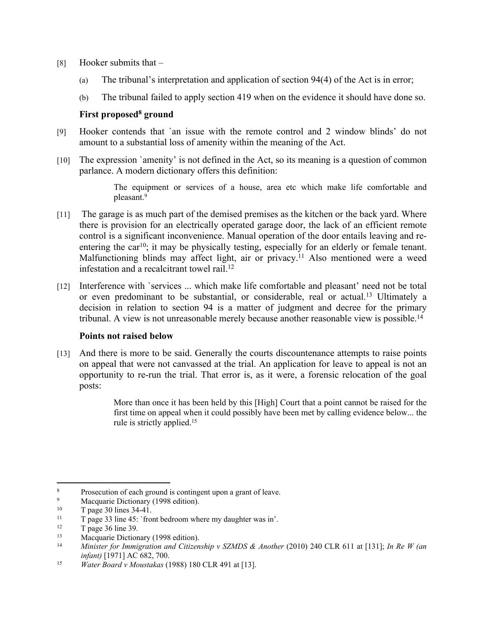- [8] Hooker submits that
	- (a) The tribunal's interpretation and application of section 94(4) of the Act is in error;
	- (b) The tribunal failed to apply section 419 when on the evidence it should have done so.

#### **First proposed<sup>8</sup> ground**

- [9] Hooker contends that `an issue with the remote control and 2 window blinds' do not amount to a substantial loss of amenity within the meaning of the Act.
- [10] The expression `amenity' is not defined in the Act, so its meaning is a question of common parlance. A modern dictionary offers this definition:

The equipment or services of a house, area etc which make life comfortable and pleasant.<sup>9</sup>

- [11] The garage is as much part of the demised premises as the kitchen or the back yard. Where there is provision for an electrically operated garage door, the lack of an efficient remote control is a significant inconvenience. Manual operation of the door entails leaving and reentering the car<sup>10</sup>; it may be physically testing, especially for an elderly or female tenant. Malfunctioning blinds may affect light, air or privacy.<sup>11</sup> Also mentioned were a weed infestation and a recalcitrant towel rail.<sup>12</sup>
- [12] Interference with `services ... which make life comfortable and pleasant' need not be total or even predominant to be substantial, or considerable, real or actual.<sup>13</sup> Ultimately a decision in relation to section 94 is a matter of judgment and decree for the primary tribunal. A view is not unreasonable merely because another reasonable view is possible.<sup>14</sup>

#### **Points not raised below**

[13] And there is more to be said. Generally the courts discountenance attempts to raise points on appeal that were not canvassed at the trial. An application for leave to appeal is not an opportunity to re-run the trial. That error is, as it were, a forensic relocation of the goal posts:

> More than once it has been held by this [High] Court that a point cannot be raised for the first time on appeal when it could possibly have been met by calling evidence below... the rule is strictly applied.<sup>15</sup>

<sup>8</sup> Prosecution of each ground is contingent upon a grant of leave.

<sup>9</sup> <sup>9</sup><br>Macquarie Dictionary (1998 edition).<br>T page 30 lines  $34-41$ 

<sup>&</sup>lt;sup>10</sup> T page 30 lines 34-41.<br>
<sup>11</sup> T page 23 line 45: `from

<sup>&</sup>lt;sup>11</sup> T page 33 line 45: `front bedroom where my daughter was in'.<br><sup>12</sup> T page 36 line 30

 $\frac{12}{13}$  T page 36 line 39.

<sup>&</sup>lt;sup>13</sup> Macquarie Dictionary (1998 edition).<br><sup>14</sup> Ministar for Immigration and Citizen

<sup>14</sup> *Minister for Immigration and Citizenship v SZMDS & Another* (2010) 240 CLR 611 at [131]; *In Re W (an infant)* [1971] AC 682, 700.

<sup>15</sup> *Water Board v Moustakas* (1988) 180 CLR 491 at [13].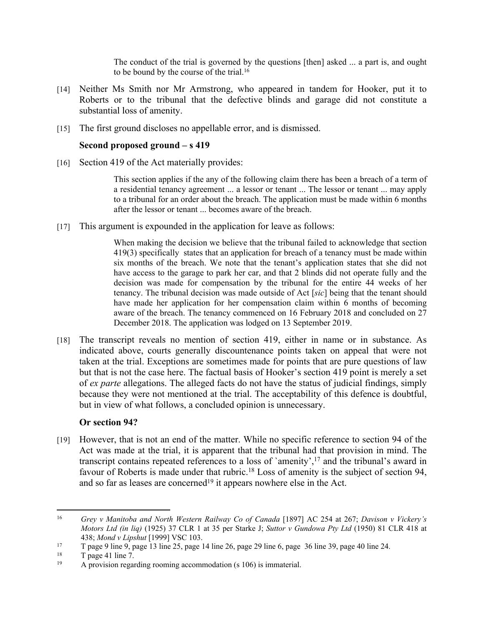The conduct of the trial is governed by the questions [then] asked ... a part is, and ought to be bound by the course of the trial.<sup>16</sup>

- [14] Neither Ms Smith nor Mr Armstrong, who appeared in tandem for Hooker, put it to Roberts or to the tribunal that the defective blinds and garage did not constitute a substantial loss of amenity.
- [15] The first ground discloses no appellable error, and is dismissed.

#### **Second proposed ground – s 419**

[16] Section 419 of the Act materially provides:

This section applies if the any of the following claim there has been a breach of a term of a residential tenancy agreement ... a lessor or tenant ... The lessor or tenant ... may apply to a tribunal for an order about the breach. The application must be made within 6 months after the lessor or tenant ... becomes aware of the breach.

[17] This argument is expounded in the application for leave as follows:

When making the decision we believe that the tribunal failed to acknowledge that section 419(3) specifically states that an application for breach of a tenancy must be made within six months of the breach. We note that the tenant's application states that she did not have access to the garage to park her car, and that 2 blinds did not operate fully and the decision was made for compensation by the tribunal for the entire 44 weeks of her tenancy. The tribunal decision was made outside of Act [*sic*] being that the tenant should have made her application for her compensation claim within 6 months of becoming aware of the breach. The tenancy commenced on 16 February 2018 and concluded on 27 December 2018. The application was lodged on 13 September 2019.

[18] The transcript reveals no mention of section 419, either in name or in substance. As indicated above, courts generally discountenance points taken on appeal that were not taken at the trial. Exceptions are sometimes made for points that are pure questions of law but that is not the case here. The factual basis of Hooker's section 419 point is merely a set of *ex parte* allegations. The alleged facts do not have the status of judicial findings, simply because they were not mentioned at the trial. The acceptability of this defence is doubtful, but in view of what follows, a concluded opinion is unnecessary.

#### **Or section 94?**

[19] However, that is not an end of the matter. While no specific reference to section 94 of the Act was made at the trial, it is apparent that the tribunal had that provision in mind. The transcript contains repeated references to a loss of `amenity',<sup>17</sup> and the tribunal's award in favour of Roberts is made under that rubric.<sup>18</sup> Loss of amenity is the subject of section 94, and so far as leases are concerned<sup>19</sup> it appears nowhere else in the Act.

<sup>16</sup> *Grey v Manitoba and North Western Railway Co of Canada* [1897] AC 254 at 267; *Davison v Vickery's Motors Ltd (in liq)* (1925) 37 CLR 1 at 35 per Starke J; *Suttor v Gundowa Pty Ltd* (1950) 81 CLR 418 at 438; *Mond v Lipshut* [1999] VSC 103.

<sup>17</sup> T page 9 line 9, page 13 line 25, page 14 line 26, page 29 line 6, page 36 line 39, page 40 line 24.

 $18$  T page 41 line 7.

<sup>19</sup> A provision regarding rooming accommodation (s 106) is immaterial.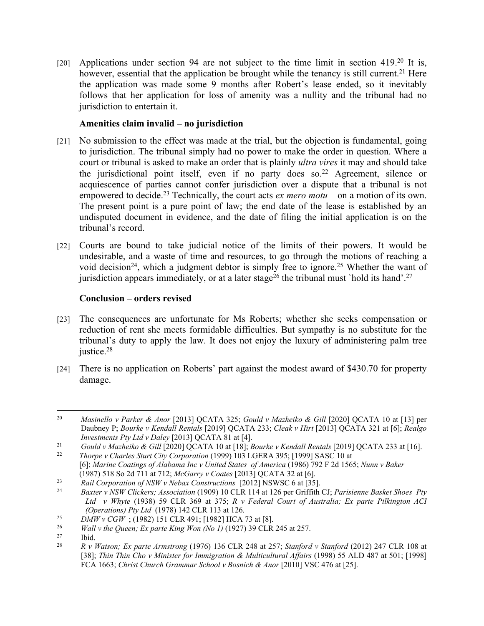[20] Applications under section 94 are not subject to the time limit in section 419.<sup>20</sup> It is, however, essential that the application be brought while the tenancy is still current.<sup>21</sup> Here the application was made some 9 months after Robert's lease ended, so it inevitably follows that her application for loss of amenity was a nullity and the tribunal had no jurisdiction to entertain it.

## **Amenities claim invalid – no jurisdiction**

- [21] No submission to the effect was made at the trial, but the objection is fundamental, going to jurisdiction. The tribunal simply had no power to make the order in question. Where a court or tribunal is asked to make an order that is plainly *ultra vires* it may and should take the jurisdictional point itself, even if no party does so.<sup>22</sup> Agreement, silence or acquiescence of parties cannot confer jurisdiction over a dispute that a tribunal is not empowered to decide.<sup>23</sup> Technically, the court acts *ex mero motu* – on a motion of its own. The present point is a pure point of law; the end date of the lease is established by an undisputed document in evidence, and the date of filing the initial application is on the tribunal's record.
- [22] Courts are bound to take judicial notice of the limits of their powers. It would be undesirable, and a waste of time and resources, to go through the motions of reaching a void decision<sup>24</sup>, which a judgment debtor is simply free to ignore.<sup>25</sup> Whether the want of jurisdiction appears immediately, or at a later stage<sup>26</sup> the tribunal must `hold its hand'.<sup>27</sup>

#### **Conclusion – orders revised**

- [23] The consequences are unfortunate for Ms Roberts; whether she seeks compensation or reduction of rent she meets formidable difficulties. But sympathy is no substitute for the tribunal's duty to apply the law. It does not enjoy the luxury of administering palm tree justice.<sup>28</sup>
- [24] There is no application on Roberts' part against the modest award of \$430.70 for property damage.

<sup>20</sup> *Masinello v Parker & Anor* [2013] QCATA 325; *Gould v Mazheiko & Gill* [2020] QCATA 10 at [13] per Daubney P; *Bourke v Kendall Rentals* [2019] QCATA 233; *Cleak v Hirt* [2013] QCATA 321 at [6]; *Realgo Investments Pty Ltd v Daley* [2013] QCATA 81 at [4].

<sup>21</sup> *Gould v Mazheiko & Gill* [2020] QCATA 10 at [18]; *Bourke v Kendall Rentals* [2019] QCATA 233 at [16]. <sup>22</sup> *Thorpe v Charles Sturt City Corporation* (1999) 103 LGERA 395; [1999] SASC 10 at

<sup>[6];</sup> *Marine Coatings of Alabama Inc v United States of America* (1986) 792 F 2d 1565; *Nunn v Baker*  (1987) 518 So 2d 711 at 712; *McGarry v Coates* [2013] QCATA 32 at [6].

<sup>23</sup> *Rail Corporation of NSW v Nebax Constructions* [2012] NSWSC 6 at [35]. <sup>24</sup> *Baxter v NSW Clickers; Association* (1909) 10 CLR 114 at 126 per Griffith CJ; *Parisienne Basket Shoes Pty Ltd v Whyte* (1938) 59 CLR 369 at 375; *R v Federal Court of Australia; Ex parte Pilkington ACI (Operations) Pty Ltd* (1978) 142 CLR 113 at 126.

<sup>25</sup> *DMW v CGW* ; (1982) 151 CLR 491; [1982] HCA 73 at [8].

<sup>&</sup>lt;sup>26</sup> *Wall v the Queen; Ex parte King Won (No 1)* (1927) 39 CLR 245 at 257.<br><sup>27</sup> Ibid

 $\frac{27}{28}$  Ibid.

<sup>28</sup> *R v Watson; Ex parte Armstrong* (1976) 136 CLR 248 at 257; *Stanford v Stanford* (2012) 247 CLR 108 at [38]; *Thin Thin Cho v Minister for Immigration & Multicultural Affairs* (1998) 55 ALD 487 at 501; [1998] FCA 1663; *Christ Church Grammar School v Bosnich & Anor* [2010] VSC 476 at [25].